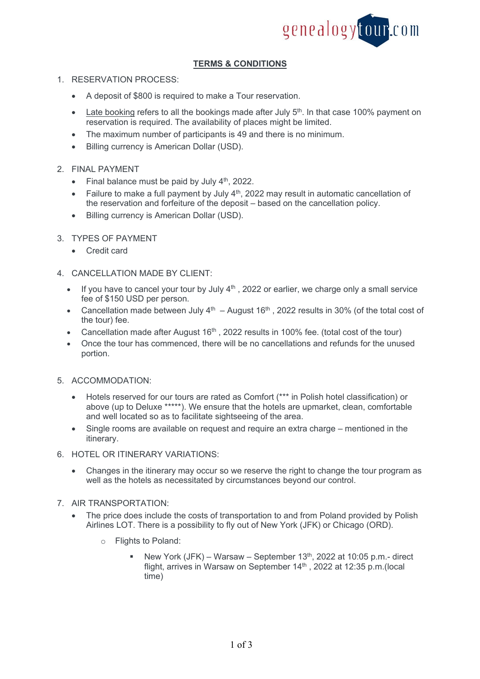

# **TERMS & CONDITIONS**

## 1. RESERVATION PROCESS:

- A deposit of \$800 is required to make a Tour reservation.
- Late booking refers to all the bookings made after July 5<sup>th</sup>. In that case 100% payment on reservation is required. The availability of places might be limited.
- The maximum number of participants is 49 and there is no minimum.
- Billing currency is American Dollar (USD).

#### 2. FINAL PAYMENT

- Final balance must be paid by July  $4<sup>th</sup>$ , 2022.
- Failure to make a full payment by July 4<sup>th</sup>, 2022 may result in automatic cancellation of the reservation and forfeiture of the deposit – based on the cancellation policy.
- Billing currency is American Dollar (USD).

## 3. TYPES OF PAYMENT

• Credit card

## 4. CANCELLATION MADE BY CLIENT:

- If you have to cancel your tour by July  $4<sup>th</sup>$ , 2022 or earlier, we charge only a small service fee of \$150 USD per person.
- Cancellation made between July  $4^{th}$  August 16<sup>th</sup>, 2022 results in 30% (of the total cost of the tour) fee.
- Cancellation made after August  $16<sup>th</sup>$ , 2022 results in 100% fee. (total cost of the tour)
- Once the tour has commenced, there will be no cancellations and refunds for the unused portion.

#### 5. ACCOMMODATION:

- Hotels reserved for our tours are rated as Comfort (\*\*\* in Polish hotel classification) or above (up to Deluxe \*\*\*\*\*). We ensure that the hotels are upmarket, clean, comfortable and well located so as to facilitate sightseeing of the area.
- Single rooms are available on request and require an extra charge mentioned in the itinerary.
- 6. HOTEL OR ITINERARY VARIATIONS:
	- Changes in the itinerary may occur so we reserve the right to change the tour program as well as the hotels as necessitated by circumstances beyond our control.
- 7. AIR TRANSPORTATION:
	- The price does include the costs of transportation to and from Poland provided by Polish Airlines LOT. There is a possibility to fly out of New York (JFK) or Chicago (ORD).
		- o Flights to Poland:
			- New York (JFK) Warsaw September  $13<sup>th</sup>$ , 2022 at 10:05 p.m.- direct flight, arrives in Warsaw on September 14<sup>th</sup> , 2022 at 12:35 p.m.(local time)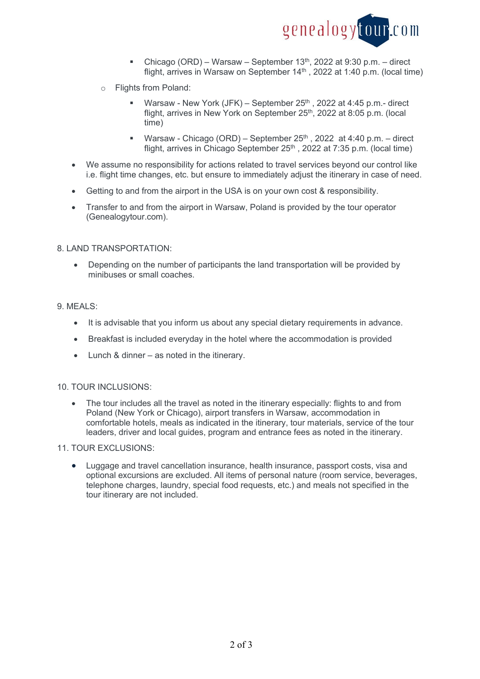

- Chicago (ORD) Warsaw September  $13<sup>th</sup>$ , 2022 at 9:30 p.m. direct flight, arrives in Warsaw on September 14<sup>th</sup>, 2022 at 1:40 p.m. (local time)
- o Flights from Poland:
	- Warsaw New York (JFK) September  $25<sup>th</sup>$ , 2022 at 4:45 p.m.- direct flight, arrives in New York on September 25<sup>th</sup>, 2022 at 8:05 p.m. (local time)
	- Warsaw Chicago (ORD) September  $25<sup>th</sup>$ , 2022 at 4:40 p.m. direct flight, arrives in Chicago September  $25<sup>th</sup>$ . 2022 at 7:35 p.m. (local time)
- We assume no responsibility for actions related to travel services beyond our control like i.e. flight time changes, etc. but ensure to immediately adjust the itinerary in case of need.
- Getting to and from the airport in the USA is on your own cost & responsibility.
- Transfer to and from the airport in Warsaw, Poland is provided by the tour operator (Genealogytour.com).

#### 8. LAND TRANSPORTATION:

 Depending on the number of participants the land transportation will be provided by minibuses or small coaches.

## 9. MEALS:

- It is advisable that you inform us about any special dietary requirements in advance.
- Breakfast is included everyday in the hotel where the accommodation is provided
- Lunch & dinner as noted in the itinerary.

#### 10. TOUR INCLUSIONS:

 The tour includes all the travel as noted in the itinerary especially: flights to and from Poland (New York or Chicago), airport transfers in Warsaw, accommodation in comfortable hotels, meals as indicated in the itinerary, tour materials, service of the tour leaders, driver and local guides, program and entrance fees as noted in the itinerary.

#### 11. TOUR EXCLUSIONS:

 Luggage and travel cancellation insurance, health insurance, passport costs, visa and optional excursions are excluded. All items of personal nature (room service, beverages, telephone charges, laundry, special food requests, etc.) and meals not specified in the tour itinerary are not included.